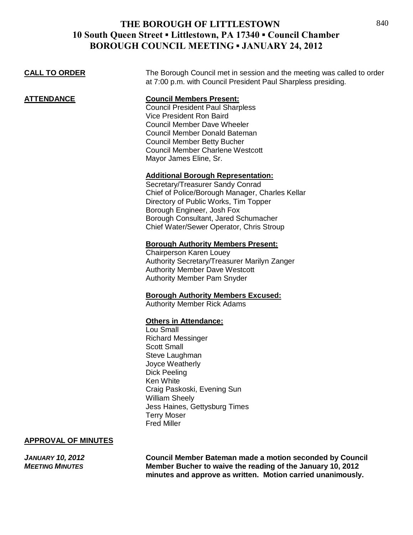**CALL TO ORDER** The Borough Council met in session and the meeting was called to order

at 7:00 p.m. with Council President Paul Sharpless presiding.

| <b>ATTENDANCE</b> | <b>Council Members Present:</b><br><b>Council President Paul Sharpless</b><br><b>Vice President Ron Baird</b><br><b>Council Member Dave Wheeler</b><br><b>Council Member Donald Bateman</b>                                                                                                 |
|-------------------|---------------------------------------------------------------------------------------------------------------------------------------------------------------------------------------------------------------------------------------------------------------------------------------------|
|                   | <b>Council Member Betty Bucher</b><br><b>Council Member Charlene Westcott</b><br>Mayor James Eline, Sr.                                                                                                                                                                                     |
|                   | <b>Additional Borough Representation:</b><br>Secretary/Treasurer Sandy Conrad<br>Chief of Police/Borough Manager, Charles Kellar<br>Directory of Public Works, Tim Topper<br>Borough Engineer, Josh Fox<br>Borough Consultant, Jared Schumacher<br>Chief Water/Sewer Operator, Chris Stroup |
|                   | <b>Borough Authority Members Present:</b><br>Chairperson Karen Louey<br>Authority Secretary/Treasurer Marilyn Zanger<br><b>Authority Member Dave Westcott</b><br><b>Authority Member Pam Snyder</b>                                                                                         |
|                   | <b>Borough Authority Members Excused:</b><br><b>Authority Member Rick Adams</b>                                                                                                                                                                                                             |
|                   | <b>Others in Attendance:</b><br>Lou Small<br><b>Richard Messinger</b><br><b>Scott Small</b><br>Stove Loughman                                                                                                                                                                               |

Steve Laughman Joyce Weatherly Dick Peeling Ken White Craig Paskoski, Evening Sun William Sheely Jess Haines, Gettysburg Times Terry Moser Fred Miller

#### **APPROVAL OF MINUTES**

*JANUARY 10, 2012* **Council Member Bateman made a motion seconded by Council Member Bucher to waive the reading of the January 10, 2012 minutes and approve as written. Motion carried unanimously.**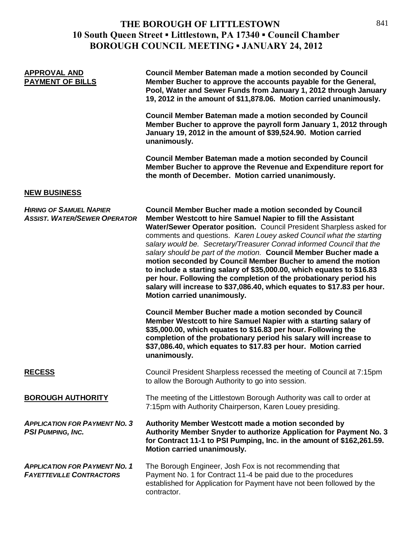| <b>APPROVAL AND</b><br><b>PAYMENT OF BILLS</b>                          | <b>Council Member Bateman made a motion seconded by Council</b><br>Member Bucher to approve the accounts payable for the General,<br>Pool, Water and Sewer Funds from January 1, 2012 through January<br>19, 2012 in the amount of \$11,878.06. Motion carried unanimously.<br><b>Council Member Bateman made a motion seconded by Council</b>                                                                                                                                                                                                                                                                                                                                                                                                                                                                       |
|-------------------------------------------------------------------------|----------------------------------------------------------------------------------------------------------------------------------------------------------------------------------------------------------------------------------------------------------------------------------------------------------------------------------------------------------------------------------------------------------------------------------------------------------------------------------------------------------------------------------------------------------------------------------------------------------------------------------------------------------------------------------------------------------------------------------------------------------------------------------------------------------------------|
|                                                                         | Member Bucher to approve the payroll form January 1, 2012 through<br>January 19, 2012 in the amount of \$39,524.90. Motion carried<br>unanimously.                                                                                                                                                                                                                                                                                                                                                                                                                                                                                                                                                                                                                                                                   |
|                                                                         | <b>Council Member Bateman made a motion seconded by Council</b><br>Member Bucher to approve the Revenue and Expenditure report for<br>the month of December. Motion carried unanimously.                                                                                                                                                                                                                                                                                                                                                                                                                                                                                                                                                                                                                             |
| <b>NEW BUSINESS</b>                                                     |                                                                                                                                                                                                                                                                                                                                                                                                                                                                                                                                                                                                                                                                                                                                                                                                                      |
| <b>HIRING OF SAMUEL NAPIER</b><br><b>ASSIST. WATER/SEWER OPERATOR</b>   | <b>Council Member Bucher made a motion seconded by Council</b><br>Member Westcott to hire Samuel Napier to fill the Assistant<br>Water/Sewer Operator position. Council President Sharpless asked for<br>comments and questions. Karen Louey asked Council what the starting<br>salary would be. Secretary/Treasurer Conrad informed Council that the<br>salary should be part of the motion. Council Member Bucher made a<br>motion seconded by Council Member Bucher to amend the motion<br>to include a starting salary of \$35,000.00, which equates to \$16.83<br>per hour. Following the completion of the probationary period his<br>salary will increase to \$37,086.40, which equates to \$17.83 per hour.<br>Motion carried unanimously.<br><b>Council Member Bucher made a motion seconded by Council</b> |
|                                                                         | Member Westcott to hire Samuel Napier with a starting salary of<br>\$35,000.00, which equates to \$16.83 per hour. Following the<br>completion of the probationary period his salary will increase to<br>\$37,086.40, which equates to \$17.83 per hour. Motion carried<br>unanimously.                                                                                                                                                                                                                                                                                                                                                                                                                                                                                                                              |
| <b>RECESS</b>                                                           | Council President Sharpless recessed the meeting of Council at 7:15pm<br>to allow the Borough Authority to go into session.                                                                                                                                                                                                                                                                                                                                                                                                                                                                                                                                                                                                                                                                                          |
| <b>BOROUGH AUTHORITY</b>                                                | The meeting of the Littlestown Borough Authority was call to order at<br>7:15pm with Authority Chairperson, Karen Louey presiding.                                                                                                                                                                                                                                                                                                                                                                                                                                                                                                                                                                                                                                                                                   |
| <b>APPLICATION FOR PAYMENT NO. 3</b><br><b>PSI PUMPING, INC.</b>        | Authority Member Westcott made a motion seconded by<br>Authority Member Snyder to authorize Application for Payment No. 3<br>for Contract 11-1 to PSI Pumping, Inc. in the amount of \$162,261.59.<br>Motion carried unanimously.                                                                                                                                                                                                                                                                                                                                                                                                                                                                                                                                                                                    |
| <b>APPLICATION FOR PAYMENT NO. 1</b><br><b>FAYETTEVILLE CONTRACTORS</b> | The Borough Engineer, Josh Fox is not recommending that<br>Payment No. 1 for Contract 11-4 be paid due to the procedures<br>established for Application for Payment have not been followed by the<br>contractor.                                                                                                                                                                                                                                                                                                                                                                                                                                                                                                                                                                                                     |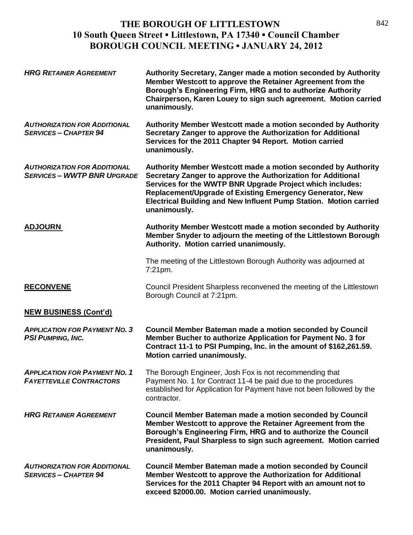| <b>HRG RETAINER AGREEMENT</b>                                             | Authority Secretary, Zanger made a motion seconded by Authority<br>Member Westcott to approve the Retainer Agreement from the<br>Borough's Engineering Firm, HRG and to authorize Authority<br>Chairperson, Karen Louey to sign such agreement. Motion carried<br>unanimously.                                                              |
|---------------------------------------------------------------------------|---------------------------------------------------------------------------------------------------------------------------------------------------------------------------------------------------------------------------------------------------------------------------------------------------------------------------------------------|
| <b>AUTHORIZATION FOR ADDITIONAL</b><br><b>SERVICES - CHAPTER 94</b>       | Authority Member Westcott made a motion seconded by Authority<br>Secretary Zanger to approve the Authorization for Additional<br>Services for the 2011 Chapter 94 Report. Motion carried<br>unanimously.                                                                                                                                    |
| <b>AUTHORIZATION FOR ADDITIONAL</b><br><b>SERVICES - WWTP BNR UPGRADE</b> | Authority Member Westcott made a motion seconded by Authority<br>Secretary Zanger to approve the Authorization for Additional<br>Services for the WWTP BNR Upgrade Project which includes:<br>Replacement/Upgrade of Existing Emergency Generator, New<br>Electrical Building and New Influent Pump Station. Motion carried<br>unanimously. |
| <b>ADJOURN</b>                                                            | Authority Member Westcott made a motion seconded by Authority<br>Member Snyder to adjourn the meeting of the Littlestown Borough<br>Authority. Motion carried unanimously.                                                                                                                                                                  |
|                                                                           | The meeting of the Littlestown Borough Authority was adjourned at<br>7:21pm.                                                                                                                                                                                                                                                                |
| <b>RECONVENE</b>                                                          | Council President Sharpless reconvened the meeting of the Littlestown<br>Borough Council at 7:21pm.                                                                                                                                                                                                                                         |
| <b>NEW BUSINESS (Cont'd)</b>                                              |                                                                                                                                                                                                                                                                                                                                             |
| <b>APPLICATION FOR PAYMENT NO. 3</b><br><b>PSI PUMPING, INC.</b>          | <b>Council Member Bateman made a motion seconded by Council</b><br>Member Bucher to authorize Application for Payment No. 3 for<br>Contract 11-1 to PSI Pumping, Inc. in the amount of \$162,261.59.<br>Motion carried unanimously.                                                                                                         |
| <b>APPLICATION FOR PAYMENT NO. 1</b><br><b>FAYETTEVILLE CONTRACTORS</b>   | The Borough Engineer, Josh Fox is not recommending that<br>Payment No. 1 for Contract 11-4 be paid due to the procedures<br>established for Application for Payment have not been followed by the<br>contractor.                                                                                                                            |
| <b>HRG RETAINER AGREEMENT</b>                                             | <b>Council Member Bateman made a motion seconded by Council</b><br>Member Westcott to approve the Retainer Agreement from the<br>Borough's Engineering Firm, HRG and to authorize the Council<br>President, Paul Sharpless to sign such agreement. Motion carried<br>unanimously.                                                           |
| <b>AUTHORIZATION FOR ADDITIONAL</b><br><b>SERVICES - CHAPTER 94</b>       | <b>Council Member Bateman made a motion seconded by Council</b><br>Member Westcott to approve the Authorization for Additional<br>Services for the 2011 Chapter 94 Report with an amount not to<br>exceed \$2000.00. Motion carried unanimously.                                                                                            |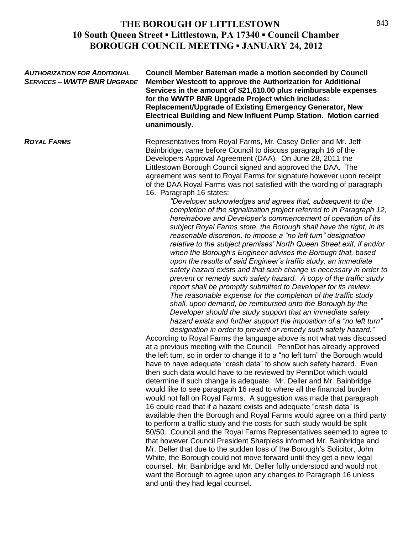*AUTHORIZATION FOR ADDITIONAL* **Council Member Bateman made a motion seconded by Council** *SERVICES – WWTP BNR UPGRADE* **Member Westcott to approve the Authorization for Additional Services in the amount of \$21,610.00 plus reimbursable expenses for the WWTP BNR Upgrade Project which includes: Replacement/Upgrade of Existing Emergency Generator, New Electrical Building and New Influent Pump Station. Motion carried unanimously. ROYAL FARMS Representatives from Royal Farms, Mr. Casey Deller and Mr. Jeff in Archarge Archarge Archarge Archarge Archarge Archarge Archarge Archarge Archarge Archarge Archarge Archarge Archarge Archarge Archarge Archa** Bainbridge, came before Council to discuss paragraph 16 of the Developers Approval Agreement (DAA). On June 28, 2011 the Littlestown Borough Council signed and approved the DAA. The agreement was sent to Royal Farms for signature however upon receipt of the DAA Royal Farms was not satisfied with the wording of paragraph 16. Paragraph 16 states: *"Developer acknowledges and agrees that, subsequent to the completion of the signalization project referred to in Paragraph 12, hereinabove and Developer's commencement of operation of its subject Royal Farms store, the Borough shall have the right, in its reasonable discretion, to impose a "no left turn" designation relative to the subject premises' North Queen Street exit, if and/or when the Borough's Engineer advises the Borough that, based upon the results of said Engineer's traffic study, an immediate safety hazard exists and that such change is necessary in order to prevent or remedy such safety hazard. A copy of the traffic study report shall be promptly submitted to Developer for its review. The reasonable expense for the completion of the traffic study shall, upon demand, be reimbursed unto the Borough by the Developer should the study support that an immediate safety hazard exists and further support the imposition of a "no left turn" designation in order to prevent or remedy such safety hazard."* According to Royal Farms the language above is not what was discussed at a previous meeting with the Council. PennDot has already approved the left turn, so in order to change it to a "no left turn" the Borough would have to have adequate "crash data" to show such safety hazard. Even then such data would have to be reviewed by PennDot which would determine if such change is adequate. Mr. Deller and Mr. Bainbridge would like to see paragraph 16 read to where all the financial burden would not fall on Royal Farms. A suggestion was made that paragraph 16 could read that if a hazard exists and adequate "crash data" is available then the Borough and Royal Farms would agree on a third party to perform a traffic study and the costs for such study would be split 50/50. Council and the Royal Farms Representatives seemed to agree to that however Council President Sharpless informed Mr. Bainbridge and Mr. Deller that due to the sudden loss of the Borough's Solicitor, John White, the Borough could not move forward until they get a new legal counsel. Mr. Bainbridge and Mr. Deller fully understood and would not want the Borough to agree upon any changes to Paragraph 16 unless and until they had legal counsel.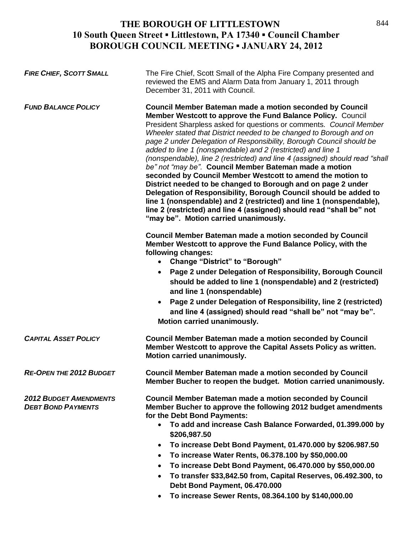| <b>FIRE CHIEF, SCOTT SMALL</b>                             | The Fire Chief, Scott Small of the Alpha Fire Company presented and<br>reviewed the EMS and Alarm Data from January 1, 2011 through<br>December 31, 2011 with Council.                                                                                                                                                                                                                                                                                                                                                                                                                                                                                                                                                                                                                                                                                                                                                                                   |
|------------------------------------------------------------|----------------------------------------------------------------------------------------------------------------------------------------------------------------------------------------------------------------------------------------------------------------------------------------------------------------------------------------------------------------------------------------------------------------------------------------------------------------------------------------------------------------------------------------------------------------------------------------------------------------------------------------------------------------------------------------------------------------------------------------------------------------------------------------------------------------------------------------------------------------------------------------------------------------------------------------------------------|
| <b>FUND BALANCE POLICY</b>                                 | <b>Council Member Bateman made a motion seconded by Council</b><br>Member Westcott to approve the Fund Balance Policy. Council<br>President Sharpless asked for questions or comments. Council Member<br>Wheeler stated that District needed to be changed to Borough and on<br>page 2 under Delegation of Responsibility, Borough Council should be<br>added to line 1 (nonspendable) and 2 (restricted) and line 1<br>(nonspendable), line 2 (restricted) and line 4 (assigned) should read "shall<br>be" not "may be". Council Member Bateman made a motion<br>seconded by Council Member Westcott to amend the motion to<br>District needed to be changed to Borough and on page 2 under<br>Delegation of Responsibility, Borough Council should be added to<br>line 1 (nonspendable) and 2 (restricted) and line 1 (nonspendable),<br>line 2 (restricted) and line 4 (assigned) should read "shall be" not<br>"may be". Motion carried unanimously. |
|                                                            | <b>Council Member Bateman made a motion seconded by Council</b><br>Member Westcott to approve the Fund Balance Policy, with the<br>following changes:<br>• Change "District" to "Borough"<br>Page 2 under Delegation of Responsibility, Borough Council<br>should be added to line 1 (nonspendable) and 2 (restricted)<br>and line 1 (nonspendable)<br>Page 2 under Delegation of Responsibility, line 2 (restricted)<br>$\bullet$<br>and line 4 (assigned) should read "shall be" not "may be".<br>Motion carried unanimously.                                                                                                                                                                                                                                                                                                                                                                                                                          |
| <b>CAPITAL ASSET POLICY</b>                                | <b>Council Member Bateman made a motion seconded by Council</b><br>Member Westcott to approve the Capital Assets Policy as written.<br>Motion carried unanimously.                                                                                                                                                                                                                                                                                                                                                                                                                                                                                                                                                                                                                                                                                                                                                                                       |
| <b>RE-OPEN THE 2012 BUDGET</b>                             | Council Member Bateman made a motion seconded by Council<br>Member Bucher to reopen the budget. Motion carried unanimously.                                                                                                                                                                                                                                                                                                                                                                                                                                                                                                                                                                                                                                                                                                                                                                                                                              |
| <b>2012 BUDGET AMENDMENTS</b><br><b>DEBT BOND PAYMENTS</b> | <b>Council Member Bateman made a motion seconded by Council</b><br>Member Bucher to approve the following 2012 budget amendments<br>for the Debt Bond Payments:<br>• To add and increase Cash Balance Forwarded, 01.399.000 by<br>\$206,987.50<br>To increase Debt Bond Payment, 01.470.000 by \$206.987.50<br>$\bullet$<br>To increase Water Rents, 06.378.100 by \$50,000.00<br>$\bullet$<br>To increase Debt Bond Payment, 06.470.000 by \$50,000.00<br>$\bullet$<br>To transfer \$33,842.50 from, Capital Reserves, 06.492.300, to<br>$\bullet$<br>Debt Bond Payment, 06.470.000                                                                                                                                                                                                                                                                                                                                                                     |

**To increase Sewer Rents, 08.364.100 by \$140,000.00**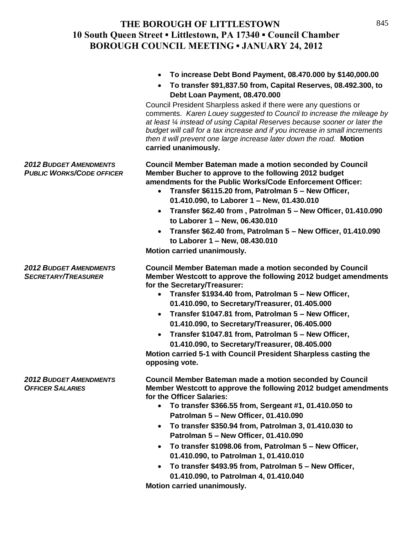|                                                                   | To increase Debt Bond Payment, 08.470.000 by \$140,000.00<br>To transfer \$91,837.50 from, Capital Reserves, 08.492.300, to<br>$\bullet$<br>Debt Loan Payment, 08.470.000<br>Council President Sharpless asked if there were any questions or<br>comments. Karen Louey suggested to Council to increase the mileage by<br>at least 1/4 instead of using Capital Reserves because sooner or later the<br>budget will call for a tax increase and if you increase in small increments<br>then it will prevent one large increase later down the road. Motion<br>carried unanimously.                                                                            |
|-------------------------------------------------------------------|---------------------------------------------------------------------------------------------------------------------------------------------------------------------------------------------------------------------------------------------------------------------------------------------------------------------------------------------------------------------------------------------------------------------------------------------------------------------------------------------------------------------------------------------------------------------------------------------------------------------------------------------------------------|
| <b>2012 BUDGET AMENDMENTS</b><br><b>PUBLIC WORKS/CODE OFFICER</b> | <b>Council Member Bateman made a motion seconded by Council</b><br>Member Bucher to approve to the following 2012 budget<br>amendments for the Public Works/Code Enforcement Officer:<br>Transfer \$6115.20 from, Patrolman 5 - New Officer,<br>$\bullet$<br>01.410.090, to Laborer 1 - New, 01.430.010<br>Transfer \$62.40 from, Patrolman 5 - New Officer, 01.410.090<br>$\bullet$<br>to Laborer 1 - New, 06.430.010<br>Transfer \$62.40 from, Patrolman 5 - New Officer, 01.410.090<br>$\bullet$<br>to Laborer 1 - New, 08.430.010<br>Motion carried unanimously.                                                                                          |
| <b>2012 BUDGET AMENDMENTS</b><br><b>SECRETARY/TREASURER</b>       | <b>Council Member Bateman made a motion seconded by Council</b><br>Member Westcott to approve the following 2012 budget amendments<br>for the Secretary/Treasurer:<br>Transfer \$1934.40 from, Patrolman 5 - New Officer,<br>$\bullet$<br>01.410.090, to Secretary/Treasurer, 01.405.000<br>Transfer \$1047.81 from, Patrolman 5 - New Officer,<br>$\bullet$<br>01.410.090, to Secretary/Treasurer, 06.405.000<br>Transfer \$1047.81 from, Patrolman 5 - New Officer,<br>$\bullet$<br>01.410.090, to Secretary/Treasurer, 08.405.000<br>Motion carried 5-1 with Council President Sharpless casting the<br>opposing vote.                                     |
| <b>2012 BUDGET AMENDMENTS</b><br><b>OFFICER SALARIES</b>          | <b>Council Member Bateman made a motion seconded by Council</b><br>Member Westcott to approve the following 2012 budget amendments<br>for the Officer Salaries:<br>To transfer \$366.55 from, Sergeant #1, 01.410.050 to<br>$\bullet$<br>Patrolman 5 - New Officer, 01.410.090<br>To transfer \$350.94 from, Patrolman 3, 01.410.030 to<br>$\bullet$<br>Patrolman 5 - New Officer, 01.410.090<br>To transfer \$1098.06 from, Patrolman 5 - New Officer,<br>$\bullet$<br>01.410.090, to Patrolman 1, 01.410.010<br>To transfer \$493.95 from, Patrolman 5 - New Officer,<br>$\bullet$<br>01.410.090, to Patrolman 4, 01.410.040<br>Motion carried unanimously. |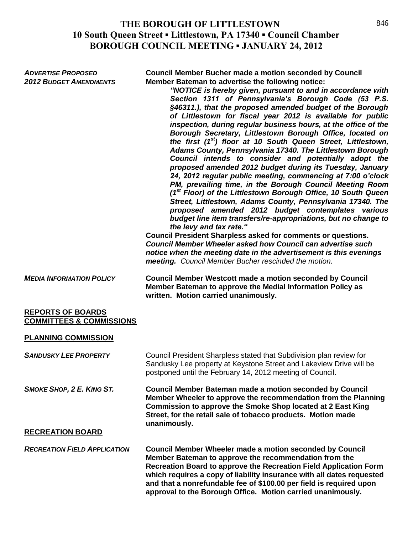| <b>ADVERTISE PROPOSED</b><br><b>2012 BUDGET AMENDMENTS</b>      | <b>Council Member Bucher made a motion seconded by Council</b><br>Member Bateman to advertise the following notice:<br>"NOTICE is hereby given, pursuant to and in accordance with<br>Section 1311 of Pennsylvania's Borough Code (53 P.S.<br>§46311.), that the proposed amended budget of the Borough<br>of Littlestown for fiscal year 2012 is available for public<br>inspection, during regular business hours, at the office of the<br>Borough Secretary, Littlestown Borough Office, located on<br>the first (1 <sup>st</sup> ) floor at 10 South Queen Street, Littlestown,<br>Adams County, Pennsylvania 17340. The Littlestown Borough<br>Council intends to consider and potentially adopt the<br>proposed amended 2012 budget during its Tuesday, January<br>24, 2012 regular public meeting, commencing at 7:00 o'clock<br>PM, prevailing time, in the Borough Council Meeting Room<br>(1 <sup>st</sup> Floor) of the Littlestown Borough Office, 10 South Queen<br>Street, Littlestown, Adams County, Pennsylvania 17340. The<br>proposed amended 2012 budget contemplates various<br>budget line item transfers/re-appropriations, but no change to<br>the levy and tax rate."<br><b>Council President Sharpless asked for comments or questions.</b><br>Council Member Wheeler asked how Council can advertise such<br>notice when the meeting date in the advertisement is this evenings<br>meeting. Council Member Bucher rescinded the motion. |
|-----------------------------------------------------------------|-------------------------------------------------------------------------------------------------------------------------------------------------------------------------------------------------------------------------------------------------------------------------------------------------------------------------------------------------------------------------------------------------------------------------------------------------------------------------------------------------------------------------------------------------------------------------------------------------------------------------------------------------------------------------------------------------------------------------------------------------------------------------------------------------------------------------------------------------------------------------------------------------------------------------------------------------------------------------------------------------------------------------------------------------------------------------------------------------------------------------------------------------------------------------------------------------------------------------------------------------------------------------------------------------------------------------------------------------------------------------------------------------------------------------------------------------------------------|
| <b>MEDIA INFORMATION POLICY</b>                                 | <b>Council Member Westcott made a motion seconded by Council</b><br>Member Bateman to approve the Medial Information Policy as<br>written. Motion carried unanimously.                                                                                                                                                                                                                                                                                                                                                                                                                                                                                                                                                                                                                                                                                                                                                                                                                                                                                                                                                                                                                                                                                                                                                                                                                                                                                            |
| <b>REPORTS OF BOARDS</b><br><b>COMMITTEES &amp; COMMISSIONS</b> |                                                                                                                                                                                                                                                                                                                                                                                                                                                                                                                                                                                                                                                                                                                                                                                                                                                                                                                                                                                                                                                                                                                                                                                                                                                                                                                                                                                                                                                                   |
| <b>PLANNING COMMISSION</b>                                      |                                                                                                                                                                                                                                                                                                                                                                                                                                                                                                                                                                                                                                                                                                                                                                                                                                                                                                                                                                                                                                                                                                                                                                                                                                                                                                                                                                                                                                                                   |
| <b>SANDUSKY LEE PROPERTY</b>                                    | Council President Sharpless stated that Subdivision plan review for<br>Sandusky Lee property at Keystone Street and Lakeview Drive will be<br>postponed until the February 14, 2012 meeting of Council.                                                                                                                                                                                                                                                                                                                                                                                                                                                                                                                                                                                                                                                                                                                                                                                                                                                                                                                                                                                                                                                                                                                                                                                                                                                           |
| <b>SMOKE SHOP, 2 E. KING ST.</b><br><b>RECREATION BOARD</b>     | <b>Council Member Bateman made a motion seconded by Council</b><br>Member Wheeler to approve the recommendation from the Planning<br><b>Commission to approve the Smoke Shop located at 2 East King</b><br>Street, for the retail sale of tobacco products. Motion made<br>unanimously.                                                                                                                                                                                                                                                                                                                                                                                                                                                                                                                                                                                                                                                                                                                                                                                                                                                                                                                                                                                                                                                                                                                                                                           |
|                                                                 |                                                                                                                                                                                                                                                                                                                                                                                                                                                                                                                                                                                                                                                                                                                                                                                                                                                                                                                                                                                                                                                                                                                                                                                                                                                                                                                                                                                                                                                                   |
| <b>RECREATION FIELD APPLICATION</b>                             | Council Member Wheeler made a motion seconded by Council<br>Member Bateman to approve the recommendation from the<br>Recreation Board to approve the Recreation Field Application Form<br>which requires a copy of liability insurance with all dates requested<br>and that a nonrefundable fee of \$100.00 per field is required upon<br>approval to the Borough Office. Motion carried unanimously.                                                                                                                                                                                                                                                                                                                                                                                                                                                                                                                                                                                                                                                                                                                                                                                                                                                                                                                                                                                                                                                             |